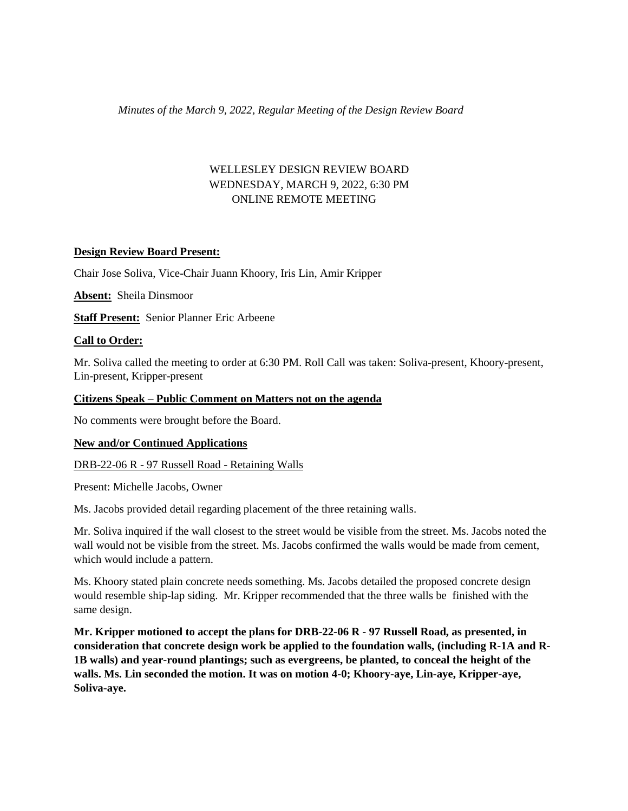### *Minutes of the March 9, 2022, Regular Meeting of the Design Review Board*

# WELLESLEY DESIGN REVIEW BOARD WEDNESDAY, MARCH 9, 2022, 6:30 PM ONLINE REMOTE MEETING

### **Design Review Board Present:**

Chair Jose Soliva, Vice-Chair Juann Khoory, Iris Lin, Amir Kripper

**Absent:** Sheila Dinsmoor

**Staff Present:** Senior Planner Eric Arbeene

### **Call to Order:**

Mr. Soliva called the meeting to order at 6:30 PM. Roll Call was taken: Soliva-present, Khoory-present, Lin-present, Kripper-present

### **Citizens Speak – Public Comment on Matters not on the agenda**

No comments were brought before the Board.

### **New and/or Continued Applications**

DRB-22-06 R - 97 Russell Road - Retaining Walls

Present: Michelle Jacobs, Owner

Ms. Jacobs provided detail regarding placement of the three retaining walls.

Mr. Soliva inquired if the wall closest to the street would be visible from the street. Ms. Jacobs noted the wall would not be visible from the street. Ms. Jacobs confirmed the walls would be made from cement, which would include a pattern.

Ms. Khoory stated plain concrete needs something. Ms. Jacobs detailed the proposed concrete design would resemble ship-lap siding. Mr. Kripper recommended that the three walls be finished with the same design.

**Mr. Kripper motioned to accept the plans for DRB-22-06 R - 97 Russell Road, as presented, in consideration that concrete design work be applied to the foundation walls, (including R-1A and R-1B walls) and year-round plantings; such as evergreens, be planted, to conceal the height of the walls. Ms. Lin seconded the motion. It was on motion 4-0; Khoory-aye, Lin-aye, Kripper-aye, Soliva-aye.**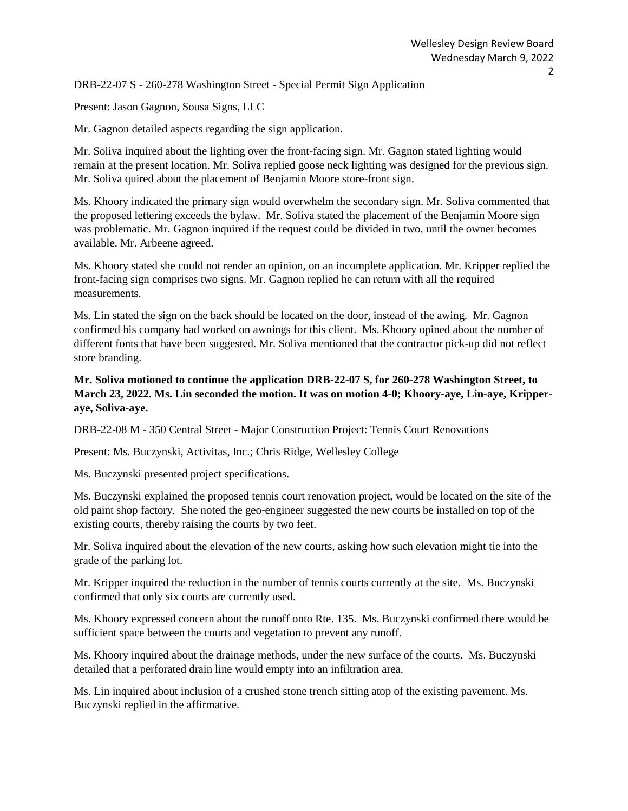### DRB-22-07 S - 260-278 Washington Street - Special Permit Sign Application

Present: Jason Gagnon, Sousa Signs, LLC

Mr. Gagnon detailed aspects regarding the sign application.

Mr. Soliva inquired about the lighting over the front-facing sign. Mr. Gagnon stated lighting would remain at the present location. Mr. Soliva replied goose neck lighting was designed for the previous sign. Mr. Soliva quired about the placement of Benjamin Moore store-front sign.

Ms. Khoory indicated the primary sign would overwhelm the secondary sign. Mr. Soliva commented that the proposed lettering exceeds the bylaw. Mr. Soliva stated the placement of the Benjamin Moore sign was problematic. Mr. Gagnon inquired if the request could be divided in two, until the owner becomes available. Mr. Arbeene agreed.

Ms. Khoory stated she could not render an opinion, on an incomplete application. Mr. Kripper replied the front-facing sign comprises two signs. Mr. Gagnon replied he can return with all the required measurements.

Ms. Lin stated the sign on the back should be located on the door, instead of the awing. Mr. Gagnon confirmed his company had worked on awnings for this client. Ms. Khoory opined about the number of different fonts that have been suggested. Mr. Soliva mentioned that the contractor pick-up did not reflect store branding.

**Mr. Soliva motioned to continue the application DRB-22-07 S, for 260-278 Washington Street, to March 23, 2022. Ms. Lin seconded the motion. It was on motion 4-0; Khoory-aye, Lin-aye, Kripperaye, Soliva-aye.** 

### DRB-22-08 M - 350 Central Street - Major Construction Project: Tennis Court Renovations

Present: Ms. Buczynski, Activitas, Inc.; Chris Ridge, Wellesley College

Ms. Buczynski presented project specifications.

Ms. Buczynski explained the proposed tennis court renovation project, would be located on the site of the old paint shop factory. She noted the geo-engineer suggested the new courts be installed on top of the existing courts, thereby raising the courts by two feet.

Mr. Soliva inquired about the elevation of the new courts, asking how such elevation might tie into the grade of the parking lot.

Mr. Kripper inquired the reduction in the number of tennis courts currently at the site. Ms. Buczynski confirmed that only six courts are currently used.

Ms. Khoory expressed concern about the runoff onto Rte. 135. Ms. Buczynski confirmed there would be sufficient space between the courts and vegetation to prevent any runoff.

Ms. Khoory inquired about the drainage methods, under the new surface of the courts. Ms. Buczynski detailed that a perforated drain line would empty into an infiltration area.

Ms. Lin inquired about inclusion of a crushed stone trench sitting atop of the existing pavement. Ms. Buczynski replied in the affirmative.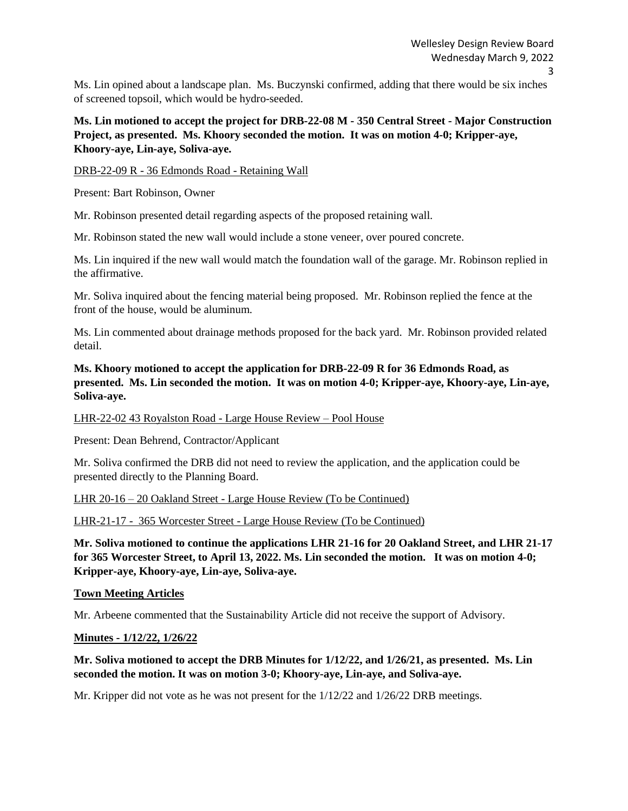Ms. Lin opined about a landscape plan. Ms. Buczynski confirmed, adding that there would be six inches of screened topsoil, which would be hydro-seeded.

**Ms. Lin motioned to accept the project for DRB-22-08 M - 350 Central Street - Major Construction Project, as presented. Ms. Khoory seconded the motion. It was on motion 4-0; Kripper-aye, Khoory-aye, Lin-aye, Soliva-aye.** 

#### DRB-22-09 R - 36 Edmonds Road - Retaining Wall

Present: Bart Robinson, Owner

Mr. Robinson presented detail regarding aspects of the proposed retaining wall.

Mr. Robinson stated the new wall would include a stone veneer, over poured concrete.

Ms. Lin inquired if the new wall would match the foundation wall of the garage. Mr. Robinson replied in the affirmative.

Mr. Soliva inquired about the fencing material being proposed. Mr. Robinson replied the fence at the front of the house, would be aluminum.

Ms. Lin commented about drainage methods proposed for the back yard. Mr. Robinson provided related detail.

## **Ms. Khoory motioned to accept the application for DRB-22-09 R for 36 Edmonds Road, as presented. Ms. Lin seconded the motion. It was on motion 4-0; Kripper-aye, Khoory-aye, Lin-aye, Soliva-aye.**

LHR-22-02 43 Royalston Road - Large House Review – Pool House

Present: Dean Behrend, Contractor/Applicant

Mr. Soliva confirmed the DRB did not need to review the application, and the application could be presented directly to the Planning Board.

LHR 20-16 – 20 Oakland Street - Large House Review (To be Continued)

LHR-21-17 - 365 Worcester Street - Large House Review (To be Continued)

**Mr. Soliva motioned to continue the applications LHR 21-16 for 20 Oakland Street, and LHR 21-17 for 365 Worcester Street, to April 13, 2022. Ms. Lin seconded the motion. It was on motion 4-0; Kripper-aye, Khoory-aye, Lin-aye, Soliva-aye.** 

### **Town Meeting Articles**

Mr. Arbeene commented that the Sustainability Article did not receive the support of Advisory.

#### **Minutes - 1/12/22, 1/26/22**

### **Mr. Soliva motioned to accept the DRB Minutes for 1/12/22, and 1/26/21, as presented. Ms. Lin seconded the motion. It was on motion 3-0; Khoory-aye, Lin-aye, and Soliva-aye.**

Mr. Kripper did not vote as he was not present for the 1/12/22 and 1/26/22 DRB meetings.